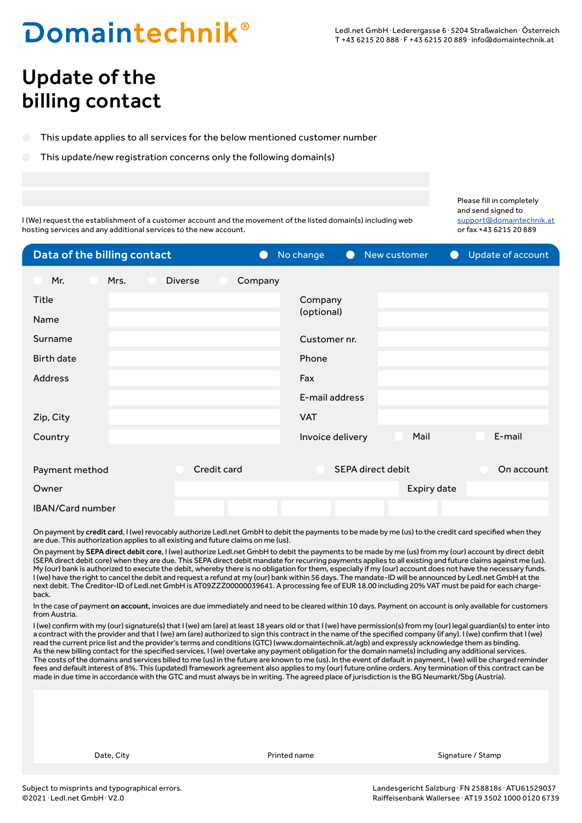## **Domaintechnik**®

### Update of the billing contact

This update applies to all services for the below mentioned customer number

This update/new registration concerns only the following domain(s)

Please fill in completely and send signed to support@domaintechnik.at or fax +43 6215 20 889

I (We) request the establishment of a customer account and the movement of the listed domain(s) including web hosting services and any additional services to the new account.

| Data of the billing contact | $\bigcirc$                | No change<br>New customer<br>$\bullet$ | Update of account<br>$\bullet$ |
|-----------------------------|---------------------------|----------------------------------------|--------------------------------|
| Mr.<br>Mrs.                 | <b>Diverse</b><br>Company |                                        |                                |
| Title                       |                           | Company                                |                                |
| Name                        |                           | (optional)                             |                                |
| Surname                     |                           | Customer nr.                           |                                |
| <b>Birth date</b>           |                           | Phone                                  |                                |
| <b>Address</b>              |                           | Fax                                    |                                |
|                             |                           | E-mail address                         |                                |
| Zip, City                   |                           | <b>VAT</b>                             |                                |
| Country                     |                           | Invoice delivery<br>Mail               | E-mail                         |
|                             |                           |                                        |                                |
| Payment method              | Credit card               | SEPA direct debit                      | On account                     |
| Owner                       |                           | Expiry date                            |                                |
| IBAN/Card number            |                           |                                        |                                |

On payment by credit card, I (we) revocably authorize Ledl.net GmbH to debit the payments to be made by me (us) to the credit card specified when they are due. This authorization applies to all existing and future claims on me (us).

On payment by SEPA direct debit core, I (we) authorize Ledl.net GmbH to debit the payments to be made by me (us) from my (our) account by direct debit (SEPA direct debit core) when they are due. This SEPA direct debit mandate for recurring payments applies to all existing and future claims against me (us). My (our) bank is authorized to execute the debit, whereby there is no obligation for them, especially if my (our) account does not have the necessary funds. I (we) have the right to cancel the debit and request a refund at my (our) bank within 56 days. The mandate-ID will be announced by Ledl.net GmbH at the next debit. The Creditor-ID of Ledl.net GmbH is AT09ZZZ00000039641. A processing fee of EUR 18.00 including 20% VAT must be paid for each chargeback.

In the case of payment on account, invoices are due immediately and need to be cleared within 10 days. Payment on account is only available for customers from Austria.

I (we) confirm with my (our) signature(s) that I (we) am (are) at least 18 years old or that I (we) have permission(s) from my (our) legal guardian(s) to enter into a contract with the provider and that I (we) am (are) authorized to sign this contract in the name of the specified company (if any). I (we) confirm that I (we) read the current price list and the provider's terms and conditions (GTC) (www.domaintechnik.at/agb) and expressly acknowledge them as binding. As the new billing contact for the specified services, I (we) overtake any payment obligation for the domain name(s) including any additional services. The costs of the domains and services billed to me (us) in the future are known to me (us). In the event of default in payment, I (we) will be charged reminder fees and default interest of 8%. This (updated) framework agreement also applies to my (our) future online orders. Any termination of this contract can be made in due time in accordance with the GTC and must always be in writing. The agreed place of jurisdiction is the BG Neumarkt/Sbg (Austria).

Date, City **Stamp Community** Printed name **Signature / Stamp Stamp Stamp Stamp Stamp** Stamp Stamp Stamp Stamp Stamp Stamp Stamp Stamp Stamp Stamp Stamp Stamp Stamp Stamp Stamp Stamp Stamp Stamp Stamp Stamp Stamp Stamp Stam